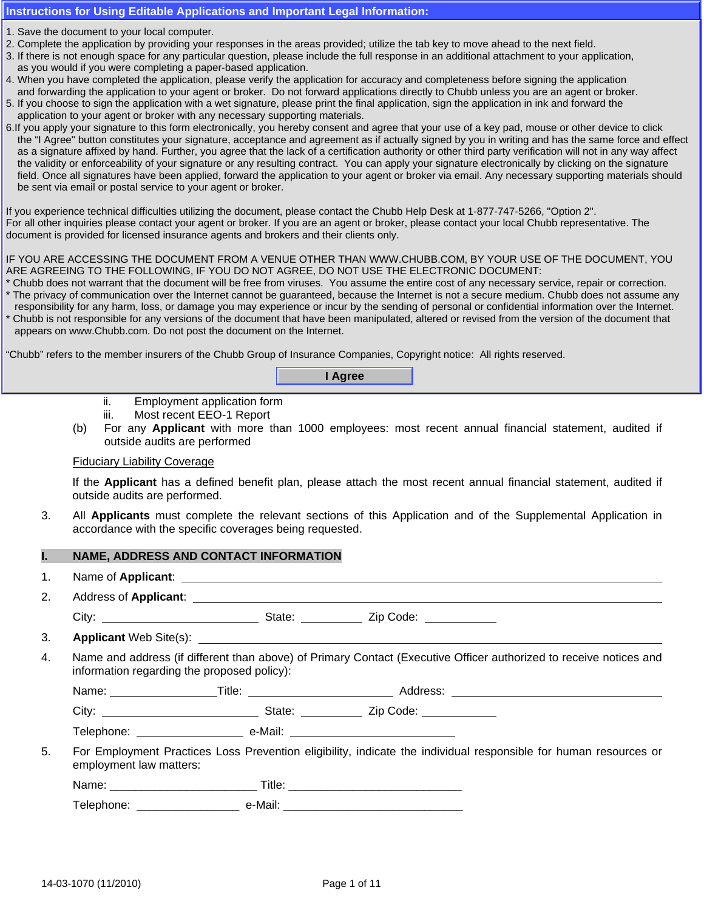## **Instructions for Using Editable Applications and Important Legal Information:**

- 1. Save the document to your local computer.
- 1. Save the document to your local computer.<br>2. Complete the application by providing your responses in the areas provided; utilize the tab key to move ahead to the next field.
- uon by providing your responses in the areas provided, utilize the tab key to move ariead to the next held.<br>Space for any particular question, please include the full response in an additional attachment to your applicatio 3. If there is not enough space for any particular question, please include the full response in an additional attachment to your application,<br>as you would if you were completing a paper-based application. as you would if you were completing a paper-based application.
- 4. When you have completed the application, please verify the application for accuracy and completeness before signing the application and forwarding the application to your agent or broker. Do not forward applications directly to Chubb unless you are an agent or broker.
- In a formaranty are application to your agent of shorth. Bo her formard applications allocaly to chase alloce you are an agent of signitude.<br>5. If you choose to sign the application with a wet signature, please print the f **FOR COVERAGE IN THE EXAMPLE THE SURVEY OF THE EXAMPLE THE EXAMPLE THE EXAMPLE AND SURVEY OF THE EXAMPLE THE EXAMPLE ADDETERTATION OF THE EXAMPLE THE EXAMPLE THE EXAMPLE THE EXAMPLE THE EXAMPLE THE EXAMPLE THE EXAMPLE THE**
- o. If you apply your signature to this form electronically, you hereby consent and agree that your use or a key pad, mouse or other device to click<br>the "I Agree" button constitutes your signature, acceptance and agreement as a signature affixed by hand. Further, you agree that the lack of a certification authority or other third party verification will not in any way affect the validity or enforceability of your signature or any resulting contract. You can apply your signature electronically by clicking on the signature field. Once all signatures have been applied, forward the application to your agent or broker via email. Any necessary supporting materials should **NO EVENT WILL THE COMPANY BE LIABLE FOR "DEFENSE COSTS" OR THE AMOUNT OF ANY JUDGMENT OR**  be sent via email or postal service to your agent or broker. 6. If you apply your signature to this form electronically, you hereby consent and agree that your use of a key pad, mouse or other device to click

If you experience technical difficulties utilizing the document, please contact the Chubb Help Desk at 1-877-747-5266, "Option 2". document is provided for licensed insurance agents and brokers and their clients only.<br> For all other inquiries please contact your agent or broker. If you are an agent or broker, please contact your local Chubb representative. The

## IF YOU ARE ACCESSING THE DOCUMENT FROM A VENUE OTHER THAN WWW.CHUBB.COM, BY YOUR USE OF THE DOCUMENT, YOU ARE AGREEING TO THE FOLLOWING, IF YOU DO NOT AGREE, DO NOT USE THE ELECTRONIC DOCUMENT:<br>.

- Chubb does not warrant that the document will be free from viruses. You assume the entire cost of any necessary service, repair or correction.
- \* The privacy of communication over the Internet cannot be guaranteed, because the Internet is not a secure medium. Chubb does not assume any \* Chubb is not responsible for any versions of the document that have been manipulated, altered or revised from the version of the document that \* responsibility for any harm, loss, or damage you may experience or incur by the sending of personal or confidential information over the Internet.

appears on www.Chubb.com. Do not post the document on the Internet. (b) List of directors and senior executive of  $\alpha$  and outside affiliation, if applicable affiliation, if applicable

i. Employee handbook

"Chubb" refers to the member insurers of the Chubb Group of Insurance Companies, Copyright notice: All rights reserved.

(a) For any **Applicant** with more than 500 employees: **I Agree**

- ii. Employment application form
- iii. Most recent EEO-1 Report
- (b) For any **Applicant** with more than 1000 employees: most recent annual financial statement, audited if outside audits are performed

#### Fiduciary Liability Coverage

If the **Applicant** has a defined benefit plan, please attach the most recent annual financial statement, audited if outside audits are performed.

3. All **Applicants** must complete the relevant sections of this Application and of the Supplemental Application in accordance with the specific coverages being requested.

## **I. NAME, ADDRESS AND CONTACT INFORMATION**

- 1. Name of **Applicant**:
- 2. Address of **Applicant**:

City: State: Zip Code:

3. **Applicant** Web Site(s):

4. Name and address (if different than above) of Primary Contact (Executive Officer authorized to receive notices and information regarding the proposed policy):

Name: Title: Address:

City: State: Zip Code:

Telephone: \_\_\_\_\_\_\_\_\_\_\_\_\_\_\_\_\_\_\_\_\_\_\_\_ e-Mail: \_\_\_\_\_\_\_\_\_

5. For Employment Practices Loss Prevention eligibility, indicate the individual responsible for human resources or employment law matters:

Name: \_\_\_\_\_\_\_\_\_\_\_\_\_\_\_\_\_\_\_\_\_\_\_ Title: \_\_\_\_\_\_\_\_\_\_\_\_\_\_\_\_\_\_\_\_\_\_\_\_\_\_\_

Telephone: \_\_\_\_\_\_\_\_\_\_\_\_\_\_\_\_ e-Mail: \_\_\_\_\_\_\_\_\_\_\_\_\_\_\_\_\_\_\_\_\_\_\_\_\_\_\_\_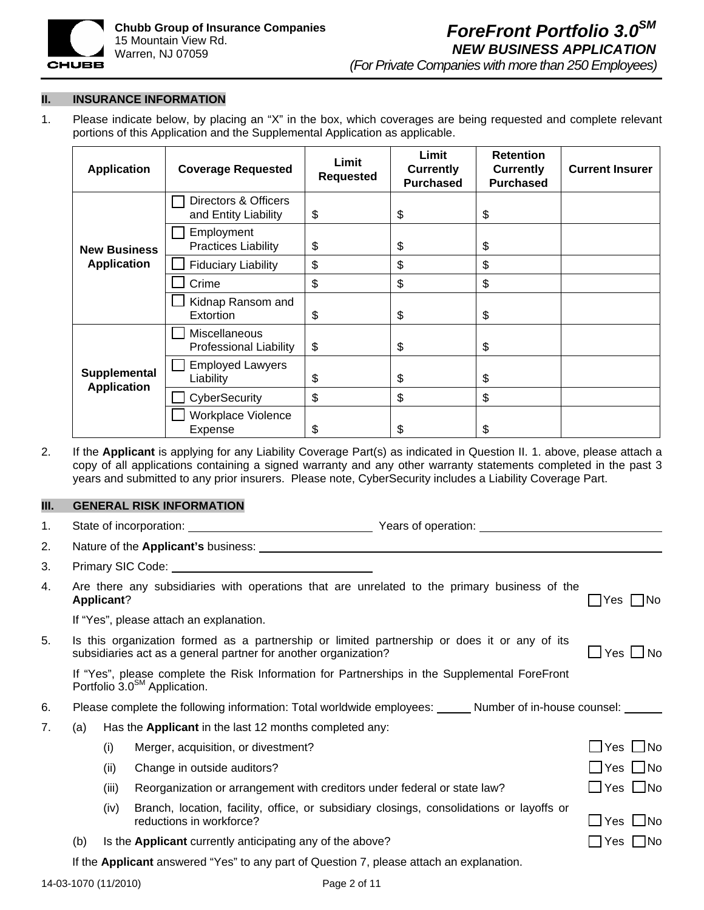

**II. INSURANCE INFORMATION** 

1. Please indicate below, by placing an "X" in the box, which coverages are being requested and complete relevant portions of this Application and the Supplemental Application as applicable.

| <b>Application</b>                 | <b>Coverage Requested</b>                      | Limit<br><b>Requested</b> | Limit<br><b>Currently</b><br><b>Purchased</b> | <b>Retention</b><br><b>Currently</b><br><b>Purchased</b> | <b>Current Insurer</b> |
|------------------------------------|------------------------------------------------|---------------------------|-----------------------------------------------|----------------------------------------------------------|------------------------|
|                                    | Directors & Officers<br>and Entity Liability   | \$                        | \$                                            | \$                                                       |                        |
| <b>New Business</b>                | Employment<br><b>Practices Liability</b>       | \$                        | \$                                            | \$                                                       |                        |
| <b>Application</b>                 | <b>Fiduciary Liability</b>                     | \$                        | \$                                            | \$                                                       |                        |
|                                    | Crime                                          | \$                        | \$                                            | \$                                                       |                        |
|                                    | Kidnap Ransom and<br>Extortion                 | \$                        | \$                                            | \$                                                       |                        |
|                                    | Miscellaneous<br><b>Professional Liability</b> | \$                        | \$                                            | \$                                                       |                        |
| Supplemental<br><b>Application</b> | <b>Employed Lawyers</b><br>Liability           | \$                        | \$                                            | \$                                                       |                        |
|                                    | CyberSecurity                                  | \$                        | \$                                            | \$                                                       |                        |
|                                    | Workplace Violence<br>Expense                  | \$                        | \$                                            | \$                                                       |                        |

2. If the **Applicant** is applying for any Liability Coverage Part(s) as indicated in Question II. 1. above, please attach a copy of all applications containing a signed warranty and any other warranty statements completed in the past 3 years and submitted to any prior insurers. Please note, CyberSecurity includes a Liability Coverage Part.

## **III.** GENERAL RISK INFORMATION

| 1. |                                                                                                                |                                                                                                                                           | Years of operation: Next Control of the Material State of the Material State of the Material State of the Material State of the Material State of the Material State of the Material State of the Material State of the Materi |  |                      |  |  |
|----|----------------------------------------------------------------------------------------------------------------|-------------------------------------------------------------------------------------------------------------------------------------------|--------------------------------------------------------------------------------------------------------------------------------------------------------------------------------------------------------------------------------|--|----------------------|--|--|
| 2. |                                                                                                                |                                                                                                                                           | Nature of the Applicant's business: Natural Contract of the Applicant of the Applicant's business:                                                                                                                             |  |                      |  |  |
| 3. |                                                                                                                |                                                                                                                                           |                                                                                                                                                                                                                                |  |                      |  |  |
| 4. |                                                                                                                | Applicant?                                                                                                                                | Are there any subsidiaries with operations that are unrelated to the primary business of the                                                                                                                                   |  | $ Yes $ No           |  |  |
|    |                                                                                                                |                                                                                                                                           | If "Yes", please attach an explanation.                                                                                                                                                                                        |  |                      |  |  |
| 5. |                                                                                                                |                                                                                                                                           | Is this organization formed as a partnership or limited partnership or does it or any of its<br>subsidiaries act as a general partner for another organization?                                                                |  | _l Yes ┗ No          |  |  |
|    |                                                                                                                | If "Yes", please complete the Risk Information for Partnerships in the Supplemental ForeFront<br>Portfolio 3.0 <sup>SM</sup> Application. |                                                                                                                                                                                                                                |  |                      |  |  |
| 6. | Please complete the following information: Total worldwide employees: ______ Number of in-house counsel: _____ |                                                                                                                                           |                                                                                                                                                                                                                                |  |                      |  |  |
| 7. | (a)                                                                                                            |                                                                                                                                           | Has the Applicant in the last 12 months completed any:                                                                                                                                                                         |  |                      |  |  |
|    |                                                                                                                | (i)                                                                                                                                       | Merger, acquisition, or divestment?                                                                                                                                                                                            |  | $\Box$ Yes $\Box$ No |  |  |
|    |                                                                                                                | (ii)                                                                                                                                      | Change in outside auditors?                                                                                                                                                                                                    |  | $\Box$ Yes $\Box$ No |  |  |
|    |                                                                                                                | (iii)                                                                                                                                     | Reorganization or arrangement with creditors under federal or state law?                                                                                                                                                       |  | $\Box$ Yes $\Box$ No |  |  |
|    |                                                                                                                | (iv)                                                                                                                                      | Branch, location, facility, office, or subsidiary closings, consolidations or layoffs or<br>reductions in workforce?                                                                                                           |  |                      |  |  |
|    | (b)                                                                                                            |                                                                                                                                           | Is the <b>Applicant</b> currently anticipating any of the above?                                                                                                                                                               |  | $\Box$ Yes $\Box$ No |  |  |
|    |                                                                                                                |                                                                                                                                           | If the Applicant answered "Yes" to any part of Question 7, please attach an explanation.                                                                                                                                       |  |                      |  |  |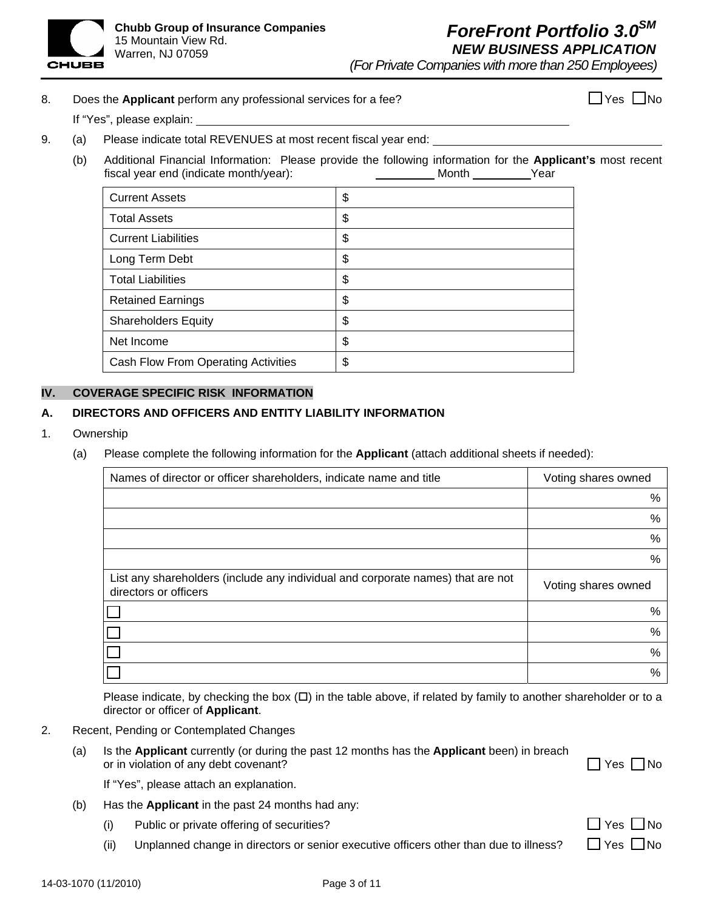

*(For Private Companies with more than 250 Employees)*

# 8. Does the **Applicant** perform any professional services for a fee?  $\Box$  Yes  $\Box$  Yes  $\Box$  No

If "Yes", please explain:

- 9. (a) Please indicate total REVENUES at most recent fiscal year end:
	- (b) Additional Financial Information: Please provide the following information for the **Applicant's** most recent fiscal year end (indicate month/year): Month Month Year

| <b>Current Assets</b>               | \$ |
|-------------------------------------|----|
| <b>Total Assets</b>                 | \$ |
| <b>Current Liabilities</b>          | \$ |
| Long Term Debt                      | \$ |
| <b>Total Liabilities</b>            | \$ |
| <b>Retained Earnings</b>            | \$ |
| <b>Shareholders Equity</b>          | \$ |
| Net Income                          | \$ |
| Cash Flow From Operating Activities | \$ |

### **IV. COVERAGE SPECIFIC RISK INFORMATION**

## **A. DIRECTORS AND OFFICERS AND ENTITY LIABILITY INFORMATION**

- 1. Ownership
	- (a) Please complete the following information for the **Applicant** (attach additional sheets if needed):

| Names of director or officer shareholders, indicate name and title                                       | Voting shares owned |
|----------------------------------------------------------------------------------------------------------|---------------------|
|                                                                                                          | %                   |
|                                                                                                          | %                   |
|                                                                                                          | $\%$                |
|                                                                                                          | %                   |
| List any shareholders (include any individual and corporate names) that are not<br>directors or officers | Voting shares owned |
|                                                                                                          | %                   |
|                                                                                                          | %                   |
|                                                                                                          | %                   |
|                                                                                                          | $\%$                |

Please indicate, by checking the box  $(D)$  in the table above, if related by family to another shareholder or to a director or officer of **Applicant**.

- 2. Recent, Pending or Contemplated Changes
	- (a) Is the **Applicant** currently (or during the past 12 months has the **Applicant** been) in breach or in violation of any debt covenant? 
	<br>
	O Yes 
	No

If "Yes", please attach an explanation.

- (b) Has the **Applicant** in the past 24 months had any:
	- (i) Public or private offering of securities?
	- (ii) Unplanned change in directors or senior executive officers other than due to illness?  $\Box$  Yes  $\Box$

| Yes | $\mathbf{I}_{\perp}$ | l Nc |
|-----|----------------------|------|
|     |                      | l No |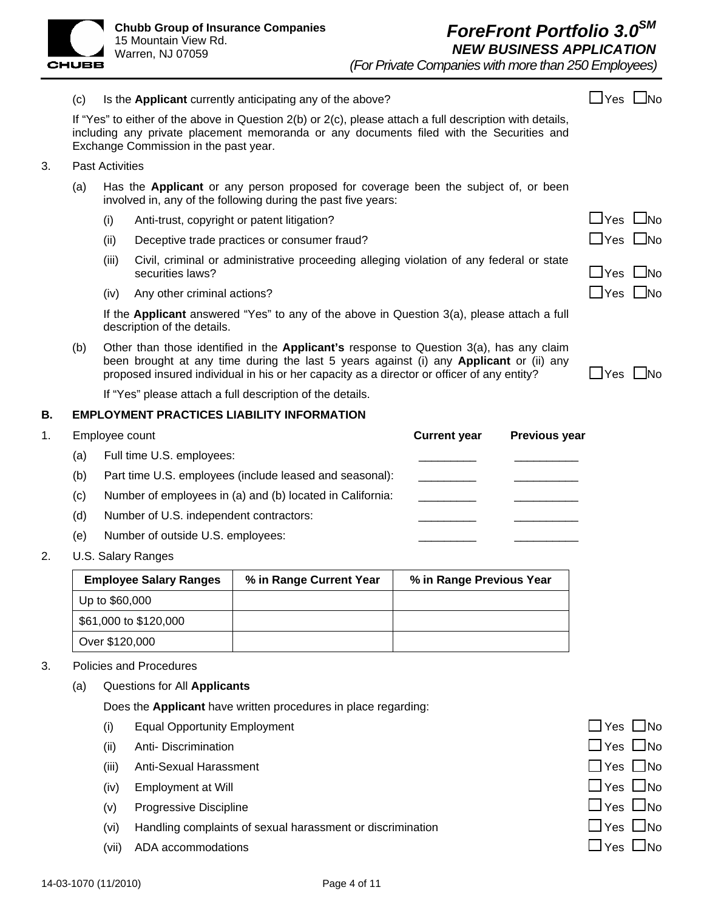

*(For Private Companies with more than 250 Employees)*

(c) Is the **Applicant** currently anticipating any of the above?  $\Box$  Yes  $\Box$  Yes  $\Box$  No If "Yes" to either of the above in Question 2(b) or 2(c), please attach a full description with details,

| If "Yes" to either of the above in Question 2(b) or 2(c), please attach a full description with details, |  |
|----------------------------------------------------------------------------------------------------------|--|
| including any private placement memoranda or any documents filed with the Securities and                 |  |
| Exchange Commission in the past year.                                                                    |  |

- 3. Past Activities
	- (a) Has the **Applicant** or any person proposed for coverage been the subject of, or been involved in, any of the following during the past five years:
		- (i) Anti-trust, copyright or patent litigation?  $\Box$  Yes  $\Box$  No
		- (ii) Deceptive trade practices or consumer fraud?  $\Box$  Yes  $\Box$  Yes  $\Box$  No
		- (iii) Civil, criminal or administrative proceeding alleging violation of any federal or state  $\blacksquare$  Yes  $\blacksquare$  No
		- (iv) Any other criminal actions?  $\Box$  Yes  $\Box$  No

If the **Applicant** answered "Yes" to any of the above in Question 3(a), please attach a full description of the details.

(b) Other than those identified in the **Applicant's** response to Question 3(a), has any claim been brought at any time during the last 5 years against (i) any **Applicant** or (ii) any proposed insured individual in his or her capacity as a director or officer of any entity?  $\Box$  Yes  $\Box$  No

If "Yes" please attach a full description of the details.

# **B. EMPLOYMENT PRACTICES LIABILITY INFORMATION**

1. Employee count **Current year Previous year**

- (a) Full time U.S. employees:
- (b) Part time U.S. employees (include leased and seasonal):
- $(c)$  Number of employees in (a) and (b) located in California:
- (d) Number of U.S. independent contractors:
- (e) Number of outside U.S. employees:
- 2. U.S. Salary Ranges

| <b>Employee Salary Ranges</b> | % in Range Current Year | % in Range Previous Year |
|-------------------------------|-------------------------|--------------------------|
| Up to \$60,000                |                         |                          |
| \$61,000 to \$120,000         |                         |                          |
| Over \$120,000                |                         |                          |

- 3. Policies and Procedures
	- (a) Questions for All **Applicants**

Does the **Applicant** have written procedures in place regarding:

- (i) Equal Opportunity Employment  $\Box$  Yes  $\Box$  No
- (ii) Anti- Discrimination  $\Box$  Yes  $\Box$  No
- (iii) Anti-Sexual Harassment Yes No
- (iv) Employment at Will  $\Box$  Yes  $\Box$  No
- (v) Progressive Discipline  $\Box$  Yes  $\Box$  No
- (vi) Handling complaints of sexual harassment or discrimination  $\Box$  Yes  $\Box$  No
- (vii) ADA accommodations  $\Box$  Yes  $\Box$  No

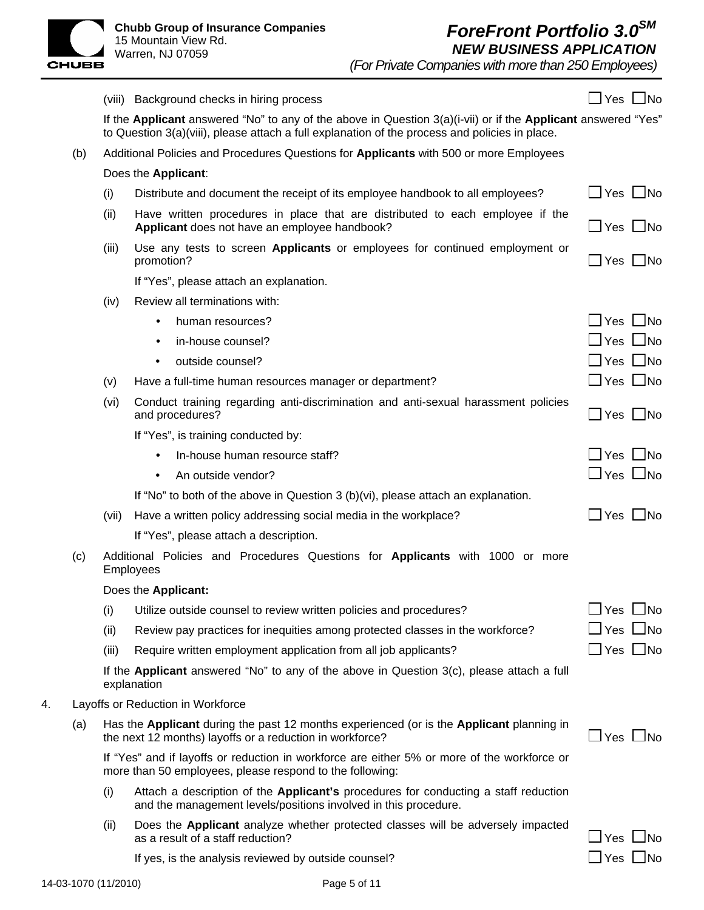

|    |     |       | (viii) Background checks in hiring process                                                                                                                                                                        | $\Box$ Yes $\Box$ No     |
|----|-----|-------|-------------------------------------------------------------------------------------------------------------------------------------------------------------------------------------------------------------------|--------------------------|
|    |     |       | If the Applicant answered "No" to any of the above in Question $3(a)(i-vii)$ or if the Applicant answered "Yes"<br>to Question 3(a)(viii), please attach a full explanation of the process and policies in place. |                          |
|    | (b) |       | Additional Policies and Procedures Questions for Applicants with 500 or more Employees                                                                                                                            |                          |
|    |     |       | Does the Applicant:                                                                                                                                                                                               |                          |
|    |     | (i)   | Distribute and document the receipt of its employee handbook to all employees?                                                                                                                                    | $\Box$ Yes $\Box$ No     |
|    |     | (ii)  | Have written procedures in place that are distributed to each employee if the<br>Applicant does not have an employee handbook?                                                                                    | $\Box$ Yes $\Box$ No     |
|    |     | (iii) | Use any tests to screen <b>Applicants</b> or employees for continued employment or<br>promotion?                                                                                                                  | $\Box$ Yes $\Box$ No     |
|    |     |       | If "Yes", please attach an explanation.                                                                                                                                                                           |                          |
|    |     | (iv)  | Review all terminations with:                                                                                                                                                                                     |                          |
|    |     |       | human resources?<br>$\bullet$                                                                                                                                                                                     | $\Box$ Yes $\Box$ No     |
|    |     |       | in-house counsel?<br>$\bullet$                                                                                                                                                                                    | $\Box$ Yes $\Box$ No     |
|    |     |       | outside counsel?<br>٠                                                                                                                                                                                             | $\Box$ Yes $\Box$ No     |
|    |     | (v)   | Have a full-time human resources manager or department?                                                                                                                                                           | $\Box$ Yes $\Box$ No     |
|    |     | (vi)  | Conduct training regarding anti-discrimination and anti-sexual harassment policies<br>and procedures?                                                                                                             | $\Box$ Yes $\Box$ No     |
|    |     |       | If "Yes", is training conducted by:                                                                                                                                                                               |                          |
|    |     |       | In-house human resource staff?                                                                                                                                                                                    | $\Box$ Yes $\Box$ No     |
|    |     |       | An outside vendor?<br>٠                                                                                                                                                                                           | $\Box$ Yes $\Box$ No     |
|    |     |       | If "No" to both of the above in Question 3 (b)(vi), please attach an explanation.                                                                                                                                 |                          |
|    |     | (vii) | Have a written policy addressing social media in the workplace?                                                                                                                                                   | $\Box$ Yes $\Box$ No     |
|    |     |       | If "Yes", please attach a description.                                                                                                                                                                            |                          |
|    | (c) |       | Additional Policies and Procedures Questions for Applicants with 1000 or more<br>Employees                                                                                                                        |                          |
|    |     |       | Does the Applicant:                                                                                                                                                                                               |                          |
|    |     | (i)   | Utilize outside counsel to review written policies and procedures?                                                                                                                                                | $\Box$ Yes $\Box$ No     |
|    |     | (ii)  | Review pay practices for inequities among protected classes in the workforce?                                                                                                                                     | $\sqcup$ Yes $\sqcup$ No |
|    |     | (iii) | Require written employment application from all job applicants?                                                                                                                                                   | $\Box$ Yes $\Box$ No     |
|    |     |       | If the Applicant answered "No" to any of the above in Question 3(c), please attach a full<br>explanation                                                                                                          |                          |
| 4. |     |       | Layoffs or Reduction in Workforce                                                                                                                                                                                 |                          |
|    | (a) |       | Has the Applicant during the past 12 months experienced (or is the Applicant planning in<br>the next 12 months) layoffs or a reduction in workforce?                                                              | $\Box$ Yes $\Box$ No     |
|    |     |       | If "Yes" and if layoffs or reduction in workforce are either 5% or more of the workforce or<br>more than 50 employees, please respond to the following:                                                           |                          |
|    |     | (i)   | Attach a description of the Applicant's procedures for conducting a staff reduction<br>and the management levels/positions involved in this procedure.                                                            |                          |
|    |     | (ii)  | Does the Applicant analyze whether protected classes will be adversely impacted<br>as a result of a staff reduction?                                                                                              | $\Box$ Yes $\Box$ No     |
|    |     |       | If yes, is the analysis reviewed by outside counsel?                                                                                                                                                              | $\exists$ Yes $\Box$ No  |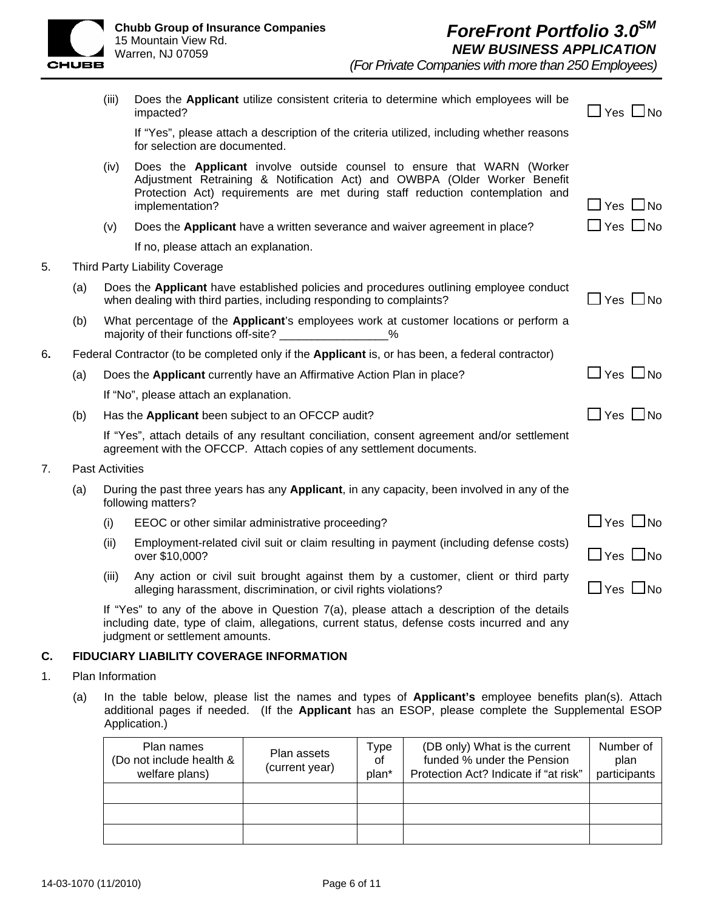

|    |     | (iii)                  | Does the Applicant utilize consistent criteria to determine which employees will be<br>impacted?                                                                                                                                                        | $\Box$ Yes $\Box$ No |
|----|-----|------------------------|---------------------------------------------------------------------------------------------------------------------------------------------------------------------------------------------------------------------------------------------------------|----------------------|
|    |     |                        | If "Yes", please attach a description of the criteria utilized, including whether reasons<br>for selection are documented.                                                                                                                              |                      |
|    |     | (iv)                   | Does the Applicant involve outside counsel to ensure that WARN (Worker<br>Adjustment Retraining & Notification Act) and OWBPA (Older Worker Benefit<br>Protection Act) requirements are met during staff reduction contemplation and<br>implementation? | $Yes$ $\Box$ No      |
|    |     | (v)                    | Does the Applicant have a written severance and waiver agreement in place?                                                                                                                                                                              | $\Box$ Yes $\Box$ No |
|    |     |                        | If no, please attach an explanation.                                                                                                                                                                                                                    |                      |
| 5. |     |                        | <b>Third Party Liability Coverage</b>                                                                                                                                                                                                                   |                      |
|    | (a) |                        | Does the Applicant have established policies and procedures outlining employee conduct<br>when dealing with third parties, including responding to complaints?                                                                                          | $\Box$ Yes $\Box$ No |
|    | (b) |                        | What percentage of the <b>Applicant</b> 's employees work at customer locations or perform a<br>majority of their functions off-site? ________________<br>$\%$                                                                                          |                      |
| 6. |     |                        | Federal Contractor (to be completed only if the Applicant is, or has been, a federal contractor)                                                                                                                                                        |                      |
|    | (a) |                        | Does the <b>Applicant</b> currently have an Affirmative Action Plan in place?                                                                                                                                                                           | $\Box$ Yes $\Box$ No |
|    |     |                        | If "No", please attach an explanation.                                                                                                                                                                                                                  |                      |
|    | (b) |                        | Has the Applicant been subject to an OFCCP audit?                                                                                                                                                                                                       | $\Box$ Yes $\Box$ No |
|    |     |                        | If "Yes", attach details of any resultant conciliation, consent agreement and/or settlement<br>agreement with the OFCCP. Attach copies of any settlement documents.                                                                                     |                      |
| 7. |     | <b>Past Activities</b> |                                                                                                                                                                                                                                                         |                      |
|    | (a) |                        | During the past three years has any Applicant, in any capacity, been involved in any of the<br>following matters?                                                                                                                                       |                      |
|    |     | (i)                    | EEOC or other similar administrative proceeding?                                                                                                                                                                                                        | $\Box$ Yes $\Box$ No |
|    |     | (ii)                   | Employment-related civil suit or claim resulting in payment (including defense costs)<br>over \$10,000?                                                                                                                                                 | $\Box$ Yes $\Box$ No |
|    |     | (iii)                  | Any action or civil suit brought against them by a customer, client or third party<br>alleging harassment, discrimination, or civil rights violations?                                                                                                  | $\Box$ Yes $\Box$ No |
|    |     |                        | If "Yes" to any of the above in Question 7(a), please attach a description of the details<br>including date, type of claim, allegations, current status, defense costs incurred and any                                                                 |                      |

judgment or settlement amounts.

#### **C. FIDUCIARY LIABILITY COVERAGE INFORMATION**

- 1. Plan Information
	- (a) In the table below, please list the names and types of **Applicant's** employee benefits plan(s). Attach additional pages if needed. (If the **Applicant** has an ESOP, please complete the Supplemental ESOP Application.)

| Plan names<br>(Do not include health &<br>welfare plans) | Plan assets<br>(current year) | Type<br>of<br>plan* | (DB only) What is the current<br>funded % under the Pension<br>Protection Act? Indicate if "at risk" | Number of<br>plan<br>participants |
|----------------------------------------------------------|-------------------------------|---------------------|------------------------------------------------------------------------------------------------------|-----------------------------------|
|                                                          |                               |                     |                                                                                                      |                                   |
|                                                          |                               |                     |                                                                                                      |                                   |
|                                                          |                               |                     |                                                                                                      |                                   |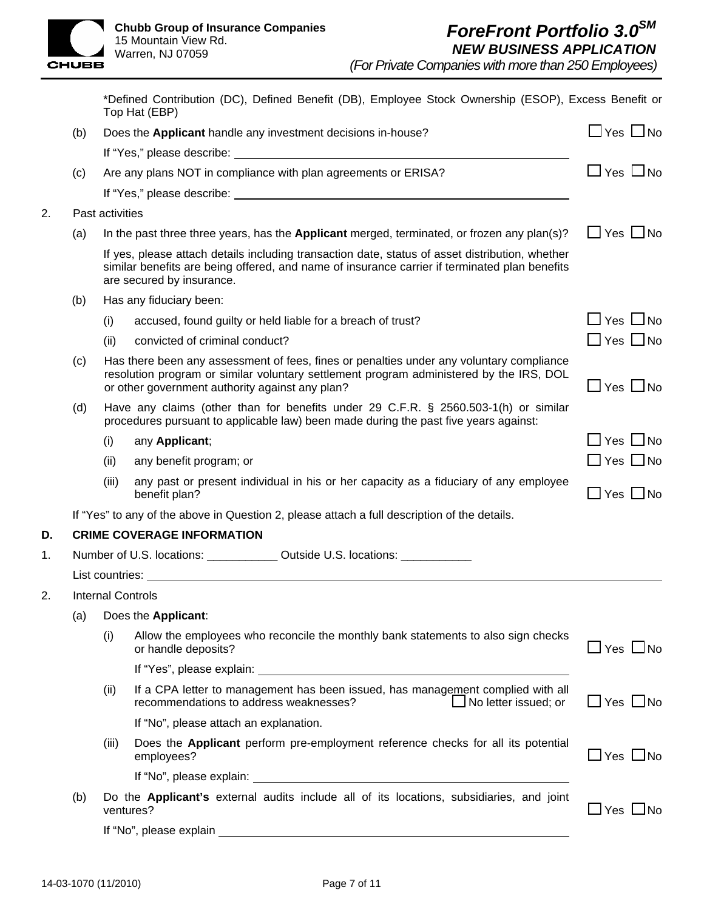

 $2.$ 

*(For Private Companies with more than 250 Employees)*

|    |     |                                                                                                                                                                                                                                        | *Defined Contribution (DC), Defined Benefit (DB), Employee Stock Ownership (ESOP), Excess Benefit or<br>Top Hat (EBP)                                                                                                          |                      |  |
|----|-----|----------------------------------------------------------------------------------------------------------------------------------------------------------------------------------------------------------------------------------------|--------------------------------------------------------------------------------------------------------------------------------------------------------------------------------------------------------------------------------|----------------------|--|
|    | (b) |                                                                                                                                                                                                                                        | Does the Applicant handle any investment decisions in-house?                                                                                                                                                                   | $\Box$ Yes $\Box$ No |  |
|    |     |                                                                                                                                                                                                                                        |                                                                                                                                                                                                                                |                      |  |
|    | (c) |                                                                                                                                                                                                                                        | Are any plans NOT in compliance with plan agreements or ERISA?                                                                                                                                                                 | $\Box$ Yes $\Box$ No |  |
|    |     |                                                                                                                                                                                                                                        |                                                                                                                                                                                                                                |                      |  |
| 2. |     | Past activities                                                                                                                                                                                                                        |                                                                                                                                                                                                                                |                      |  |
|    | (a) |                                                                                                                                                                                                                                        | In the past three three years, has the Applicant merged, terminated, or frozen any $plan(s)?$                                                                                                                                  | $\Box$ Yes $\Box$ No |  |
|    |     |                                                                                                                                                                                                                                        | If yes, please attach details including transaction date, status of asset distribution, whether<br>similar benefits are being offered, and name of insurance carrier if terminated plan benefits<br>are secured by insurance.  |                      |  |
|    | (b) |                                                                                                                                                                                                                                        | Has any fiduciary been:                                                                                                                                                                                                        |                      |  |
|    |     | (i)                                                                                                                                                                                                                                    | accused, found guilty or held liable for a breach of trust?                                                                                                                                                                    | _] Yes  □ No         |  |
|    |     | (ii)                                                                                                                                                                                                                                   | convicted of criminal conduct?                                                                                                                                                                                                 | $\Box$ Yes $\Box$ No |  |
|    | (c) | Has there been any assessment of fees, fines or penalties under any voluntary compliance<br>resolution program or similar voluntary settlement program administered by the IRS, DOL<br>or other government authority against any plan? |                                                                                                                                                                                                                                |                      |  |
|    | (d) |                                                                                                                                                                                                                                        | Have any claims (other than for benefits under 29 C.F.R. § 2560.503-1(h) or similar<br>procedures pursuant to applicable law) been made during the past five years against:                                                    |                      |  |
|    |     | (i)                                                                                                                                                                                                                                    | any Applicant;                                                                                                                                                                                                                 | $\Box$ Yes $\Box$ No |  |
|    |     | (ii)                                                                                                                                                                                                                                   | any benefit program; or                                                                                                                                                                                                        | $\Box$ Yes $\Box$ No |  |
|    |     | (iii)                                                                                                                                                                                                                                  | any past or present individual in his or her capacity as a fiduciary of any employee<br>benefit plan?                                                                                                                          | $\Box$ Yes $\Box$ No |  |
|    |     |                                                                                                                                                                                                                                        | If "Yes" to any of the above in Question 2, please attach a full description of the details.                                                                                                                                   |                      |  |
| D. |     |                                                                                                                                                                                                                                        | <b>CRIME COVERAGE INFORMATION</b>                                                                                                                                                                                              |                      |  |
| 1. |     |                                                                                                                                                                                                                                        | Number of U.S. locations: Cambridge U.S. locations: Cambridge U.S. locations:                                                                                                                                                  |                      |  |
|    |     |                                                                                                                                                                                                                                        | List countries: the contribution of the contribution of the contribution of the contribution of the contribution of the contribution of the contribution of the contribution of the contribution of the contribution of the co |                      |  |
| 2. |     |                                                                                                                                                                                                                                        | <b>Internal Controls</b>                                                                                                                                                                                                       |                      |  |
|    | (a) |                                                                                                                                                                                                                                        | Does the Applicant:                                                                                                                                                                                                            |                      |  |
|    |     | (i)                                                                                                                                                                                                                                    | Allow the employees who reconcile the monthly bank statements to also sign checks<br>or handle deposits?                                                                                                                       | $\Box$ Yes $\Box$ No |  |
|    |     |                                                                                                                                                                                                                                        |                                                                                                                                                                                                                                |                      |  |
|    |     | (ii)                                                                                                                                                                                                                                   | If a CPA letter to management has been issued, has management complied with all<br>recommendations to address weaknesses?<br>No letter issued; or                                                                              | $\Box$ Yes $\Box$ No |  |
|    |     |                                                                                                                                                                                                                                        | If "No", please attach an explanation.                                                                                                                                                                                         |                      |  |
|    |     | (iii)                                                                                                                                                                                                                                  | Does the Applicant perform pre-employment reference checks for all its potential<br>employees?                                                                                                                                 | $\Box$ Yes $\Box$ No |  |
|    |     |                                                                                                                                                                                                                                        |                                                                                                                                                                                                                                |                      |  |
|    | (b) |                                                                                                                                                                                                                                        | Do the Applicant's external audits include all of its locations, subsidiaries, and joint<br>ventures?                                                                                                                          | $\Box$ Yes $\Box$ No |  |
|    |     |                                                                                                                                                                                                                                        |                                                                                                                                                                                                                                |                      |  |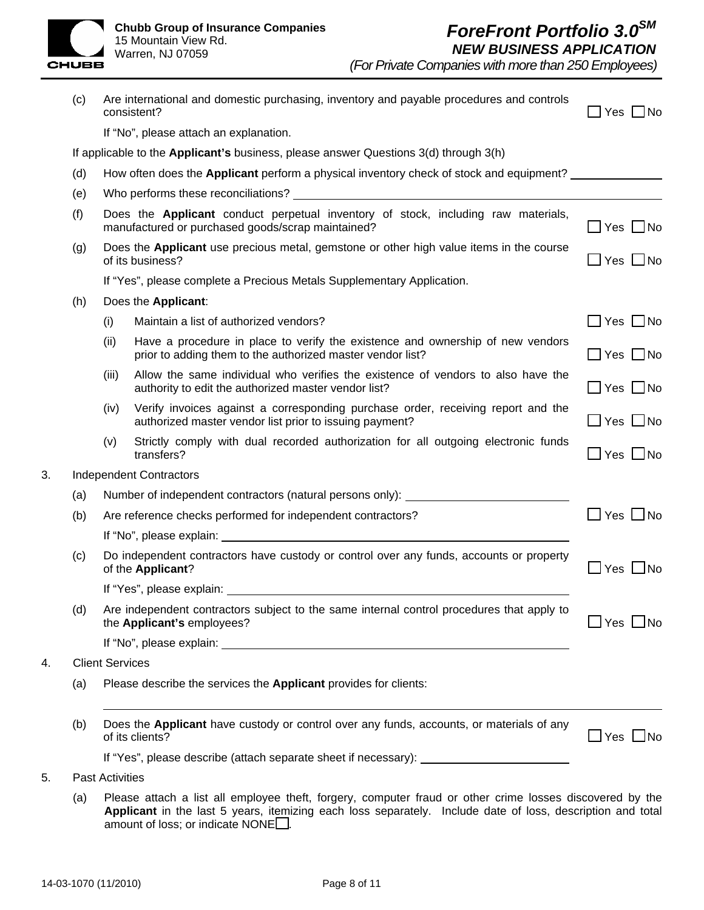# *ForeFront Portfolio 3.0SM NEW BUSINESS APPLICATION*

*(For Private Companies with more than 250 Employees)*

|    | (c)                                                                                  |                                                                                                                                        | Are international and domestic purchasing, inventory and payable procedures and controls<br>consistent?                                                                                                                        | $Yes$ $No$           |  |
|----|--------------------------------------------------------------------------------------|----------------------------------------------------------------------------------------------------------------------------------------|--------------------------------------------------------------------------------------------------------------------------------------------------------------------------------------------------------------------------------|----------------------|--|
|    |                                                                                      |                                                                                                                                        | If "No", please attach an explanation.                                                                                                                                                                                         |                      |  |
|    | If applicable to the Applicant's business, please answer Questions 3(d) through 3(h) |                                                                                                                                        |                                                                                                                                                                                                                                |                      |  |
|    | (d)                                                                                  |                                                                                                                                        | How often does the Applicant perform a physical inventory check of stock and equipment?                                                                                                                                        |                      |  |
|    | (e)                                                                                  |                                                                                                                                        |                                                                                                                                                                                                                                |                      |  |
|    | (f)                                                                                  | Does the Applicant conduct perpetual inventory of stock, including raw materials,<br>manufactured or purchased goods/scrap maintained? |                                                                                                                                                                                                                                | ]Yes □No             |  |
|    | (g)                                                                                  | Does the Applicant use precious metal, gemstone or other high value items in the course<br>of its business?                            |                                                                                                                                                                                                                                | $\Box$ Yes $\Box$ No |  |
|    |                                                                                      | If "Yes", please complete a Precious Metals Supplementary Application.                                                                 |                                                                                                                                                                                                                                |                      |  |
|    | (h)                                                                                  |                                                                                                                                        | Does the Applicant:                                                                                                                                                                                                            |                      |  |
|    |                                                                                      | (i)                                                                                                                                    | Maintain a list of authorized vendors?                                                                                                                                                                                         | $\Box$ Yes $\Box$ No |  |
|    |                                                                                      | (ii)                                                                                                                                   | Have a procedure in place to verify the existence and ownership of new vendors<br>prior to adding them to the authorized master vendor list?                                                                                   | $\Box$ Yes $\Box$ No |  |
|    |                                                                                      | (iii)                                                                                                                                  | Allow the same individual who verifies the existence of vendors to also have the<br>authority to edit the authorized master vendor list?                                                                                       | $\Box$ Yes $\Box$ No |  |
|    |                                                                                      | (iv)                                                                                                                                   | Verify invoices against a corresponding purchase order, receiving report and the<br>authorized master vendor list prior to issuing payment?                                                                                    | $\Box$ Yes $\Box$ No |  |
|    |                                                                                      | (v)                                                                                                                                    | Strictly comply with dual recorded authorization for all outgoing electronic funds<br>transfers?                                                                                                                               | $\Box$ Yes $\Box$ No |  |
| 3. | <b>Independent Contractors</b>                                                       |                                                                                                                                        |                                                                                                                                                                                                                                |                      |  |
|    | (a)                                                                                  | Number of independent contractors (natural persons only): _______________________                                                      |                                                                                                                                                                                                                                |                      |  |
|    | (b)                                                                                  | Are reference checks performed for independent contractors?                                                                            |                                                                                                                                                                                                                                | $\Box$ Yes $\Box$ No |  |
|    |                                                                                      |                                                                                                                                        |                                                                                                                                                                                                                                |                      |  |
|    | (c)                                                                                  | Do independent contractors have custody or control over any funds, accounts or property<br>of the Applicant?                           |                                                                                                                                                                                                                                | 7Yes □No             |  |
|    |                                                                                      |                                                                                                                                        | If "Yes", please explain: The same state of the state of the state of the state of the state of the state of the state of the state of the state of the state of the state of the state of the state of the state of the state |                      |  |
|    | (d)                                                                                  |                                                                                                                                        | Are independent contractors subject to the same internal control procedures that apply to<br>the Applicant's employees?                                                                                                        | 」Yes □No             |  |
|    |                                                                                      |                                                                                                                                        |                                                                                                                                                                                                                                |                      |  |
| 4. | <b>Client Services</b>                                                               |                                                                                                                                        |                                                                                                                                                                                                                                |                      |  |
|    | (a)                                                                                  | Please describe the services the Applicant provides for clients:                                                                       |                                                                                                                                                                                                                                |                      |  |
|    | (b)                                                                                  |                                                                                                                                        | Does the Applicant have custody or control over any funds, accounts, or materials of any<br>of its clients?                                                                                                                    | $\Box$ Yes $\Box$ No |  |
|    |                                                                                      |                                                                                                                                        | If "Yes", please describe (attach separate sheet if necessary): _______________________                                                                                                                                        |                      |  |
| 5. |                                                                                      | Past Activities                                                                                                                        |                                                                                                                                                                                                                                |                      |  |
|    |                                                                                      |                                                                                                                                        |                                                                                                                                                                                                                                |                      |  |

(a) Please attach a list all employee theft, forgery, computer fraud or other crime losses discovered by the **Applicant** in the last 5 years, itemizing each loss separately. Include date of loss, description and total amount of loss; or indicate  $\text{NONE}$ .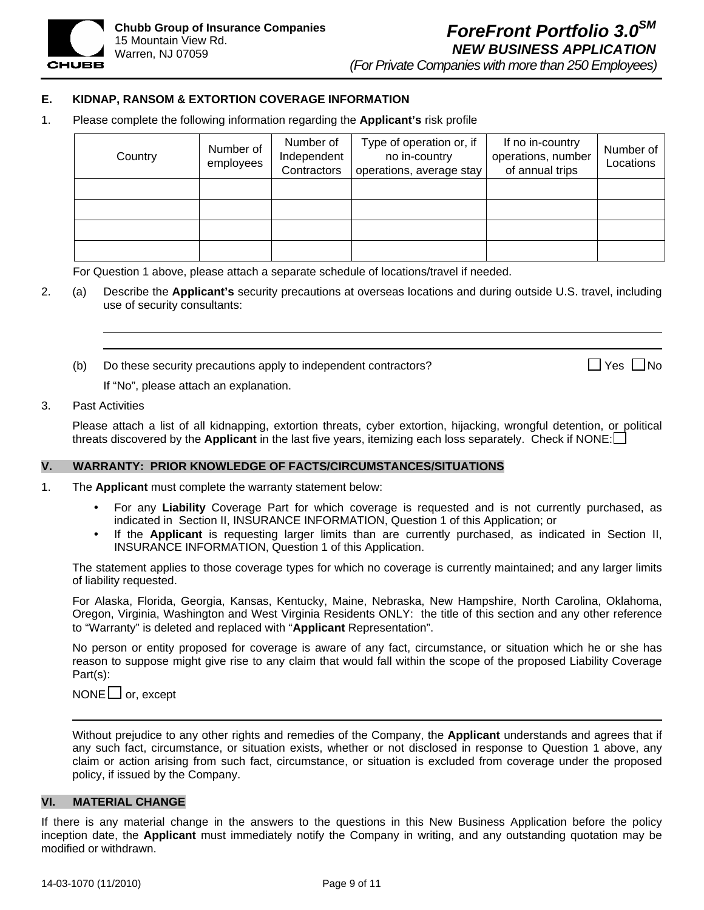

*(For Private Companies with more than 250 Employees)*

#### **E. KIDNAP, RANSOM & EXTORTION COVERAGE INFORMATION**

1. Please complete the following information regarding the **Applicant's** risk profile

| Country | Number of<br>employees | Number of<br>Independent<br>Contractors | Type of operation or, if<br>no in-country<br>operations, average stay | If no in-country<br>operations, number<br>of annual trips | Number of<br>Locations |
|---------|------------------------|-----------------------------------------|-----------------------------------------------------------------------|-----------------------------------------------------------|------------------------|
|         |                        |                                         |                                                                       |                                                           |                        |
|         |                        |                                         |                                                                       |                                                           |                        |
|         |                        |                                         |                                                                       |                                                           |                        |
|         |                        |                                         |                                                                       |                                                           |                        |

For Question 1 above, please attach a separate schedule of locations/travel if needed.

- 2. (a) Describe the **Applicant's** security precautions at overseas locations and during outside U.S. travel, including use of security consultants:
	- (b) Do these security precautions apply to independent contractors?  $\Box$  Yes  $\Box$  Yes  $\Box$  No

If "No", please attach an explanation.

#### 3. Past Activities

Please attach a list of all kidnapping, extortion threats, cyber extortion, hijacking, wrongful detention, or political threats discovered by the **Applicant** in the last five years, itemizing each loss separately. Check if NONE:

#### **V. WARRANTY: PRIOR KNOWLEDGE OF FACTS/CIRCUMSTANCES/SITUATIONS**

- 1. The **Applicant** must complete the warranty statement below:
	- For any **Liability** Coverage Part for which coverage is requested and is not currently purchased, as indicated in Section II, INSURANCE INFORMATION, Question 1 of this Application; or
	- If the **Applicant** is requesting larger limits than are currently purchased, as indicated in Section II, INSURANCE INFORMATION, Question 1 of this Application.

The statement applies to those coverage types for which no coverage is currently maintained; and any larger limits of liability requested.

For Alaska, Florida, Georgia, Kansas, Kentucky, Maine, Nebraska, New Hampshire, North Carolina, Oklahoma, Oregon, Virginia, Washington and West Virginia Residents ONLY: the title of this section and any other reference to "Warranty" is deleted and replaced with "**Applicant** Representation".

No person or entity proposed for coverage is aware of any fact, circumstance, or situation which he or she has reason to suppose might give rise to any claim that would fall within the scope of the proposed Liability Coverage Part(s):

 $\mathsf{NONE}\sqcup\mathsf{or}, \mathsf{except}$ 

Without prejudice to any other rights and remedies of the Company, the **Applicant** understands and agrees that if any such fact, circumstance, or situation exists, whether or not disclosed in response to Question 1 above, any claim or action arising from such fact, circumstance, or situation is excluded from coverage under the proposed policy, if issued by the Company.

#### **VI. MATERIAL CHANGE**

If there is any material change in the answers to the questions in this New Business Application before the policy inception date, the **Applicant** must immediately notify the Company in writing, and any outstanding quotation may be modified or withdrawn.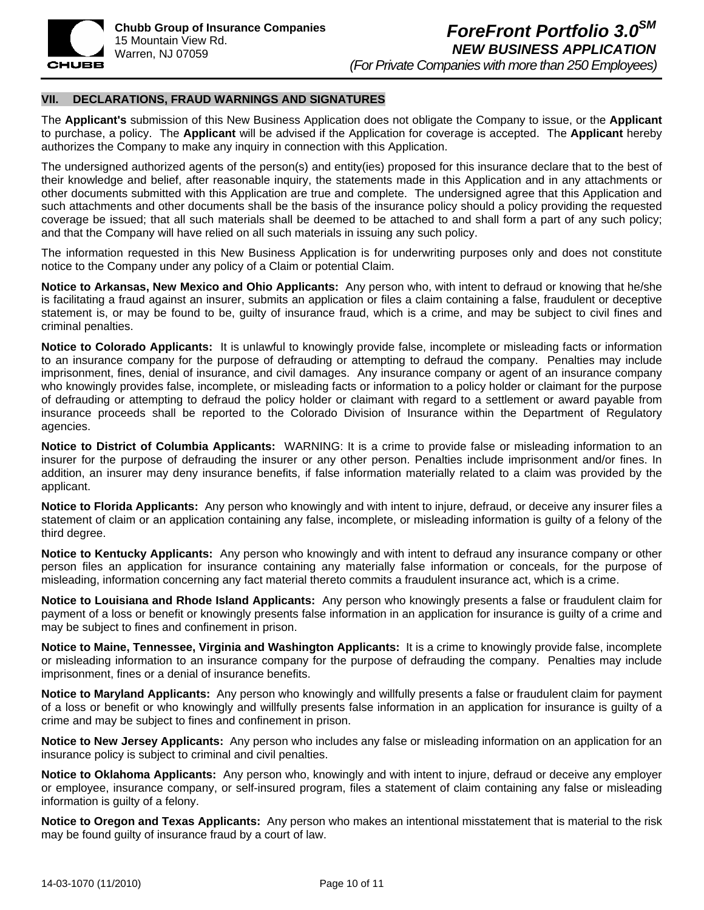

#### **VII. DECLARATIONS, FRAUD WARNINGS AND SIGNATURES**

The **Applicant's** submission of this New Business Application does not obligate the Company to issue, or the **Applicant**  to purchase, a policy. The **Applicant** will be advised if the Application for coverage is accepted. The **Applicant** hereby authorizes the Company to make any inquiry in connection with this Application.

The undersigned authorized agents of the person(s) and entity(ies) proposed for this insurance declare that to the best of their knowledge and belief, after reasonable inquiry, the statements made in this Application and in any attachments or other documents submitted with this Application are true and complete. The undersigned agree that this Application and such attachments and other documents shall be the basis of the insurance policy should a policy providing the requested coverage be issued; that all such materials shall be deemed to be attached to and shall form a part of any such policy; and that the Company will have relied on all such materials in issuing any such policy.

The information requested in this New Business Application is for underwriting purposes only and does not constitute notice to the Company under any policy of a Claim or potential Claim.

**Notice to Arkansas, New Mexico and Ohio Applicants:** Any person who, with intent to defraud or knowing that he/she is facilitating a fraud against an insurer, submits an application or files a claim containing a false, fraudulent or deceptive statement is, or may be found to be, guilty of insurance fraud, which is a crime, and may be subject to civil fines and criminal penalties.

**Notice to Colorado Applicants:** It is unlawful to knowingly provide false, incomplete or misleading facts or information to an insurance company for the purpose of defrauding or attempting to defraud the company. Penalties may include imprisonment, fines, denial of insurance, and civil damages. Any insurance company or agent of an insurance company who knowingly provides false, incomplete, or misleading facts or information to a policy holder or claimant for the purpose of defrauding or attempting to defraud the policy holder or claimant with regard to a settlement or award payable from insurance proceeds shall be reported to the Colorado Division of Insurance within the Department of Regulatory agencies.

**Notice to District of Columbia Applicants:** WARNING: It is a crime to provide false or misleading information to an insurer for the purpose of defrauding the insurer or any other person. Penalties include imprisonment and/or fines. In addition, an insurer may deny insurance benefits, if false information materially related to a claim was provided by the applicant.

**Notice to Florida Applicants:** Any person who knowingly and with intent to injure, defraud, or deceive any insurer files a statement of claim or an application containing any false, incomplete, or misleading information is guilty of a felony of the third degree.

**Notice to Kentucky Applicants:** Any person who knowingly and with intent to defraud any insurance company or other person files an application for insurance containing any materially false information or conceals, for the purpose of misleading, information concerning any fact material thereto commits a fraudulent insurance act, which is a crime.

**Notice to Louisiana and Rhode Island Applicants:** Any person who knowingly presents a false or fraudulent claim for payment of a loss or benefit or knowingly presents false information in an application for insurance is guilty of a crime and may be subject to fines and confinement in prison.

**Notice to Maine, Tennessee, Virginia and Washington Applicants:** It is a crime to knowingly provide false, incomplete or misleading information to an insurance company for the purpose of defrauding the company. Penalties may include imprisonment, fines or a denial of insurance benefits.

**Notice to Maryland Applicants:** Any person who knowingly and willfully presents a false or fraudulent claim for payment of a loss or benefit or who knowingly and willfully presents false information in an application for insurance is guilty of a crime and may be subject to fines and confinement in prison.

**Notice to New Jersey Applicants:** Any person who includes any false or misleading information on an application for an insurance policy is subject to criminal and civil penalties.

**Notice to Oklahoma Applicants:** Any person who, knowingly and with intent to injure, defraud or deceive any employer or employee, insurance company, or self-insured program, files a statement of claim containing any false or misleading information is guilty of a felony.

**Notice to Oregon and Texas Applicants:** Any person who makes an intentional misstatement that is material to the risk may be found guilty of insurance fraud by a court of law.